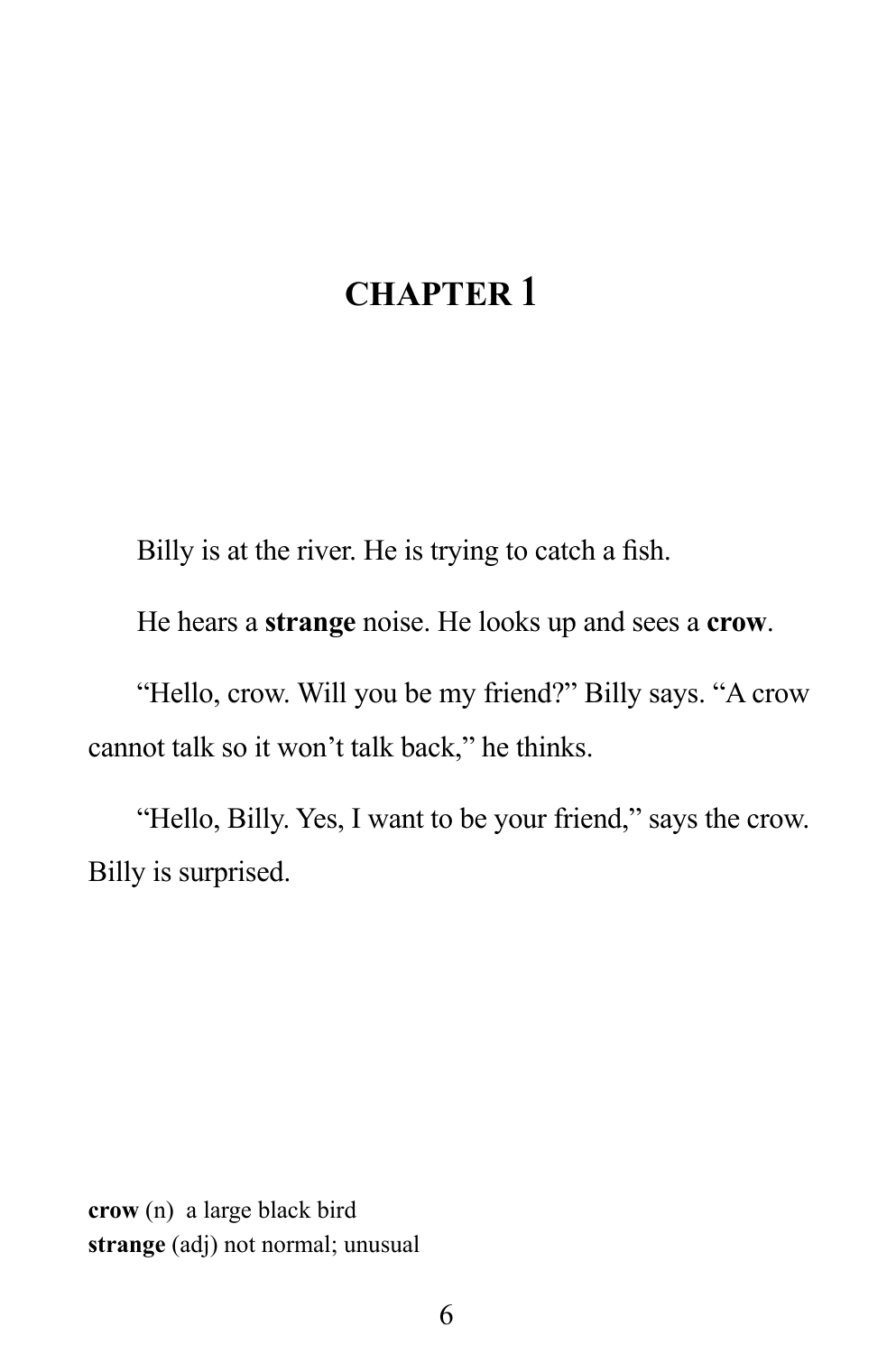## **CHAPTER 1**

Billy is at the river. He is trying to catch a fish.

He hears a **strange** noise. He looks up and sees a **crow**.

"Hello, crow. Will you be my friend?" Billy says. "A crow cannot talk so it won't talk back," he thinks.

"Hello, Billy. Yes, I want to be your friend," says the crow. Billy is surprised.

**crow** (n) a large black bird **strange** (adj) not normal; unusual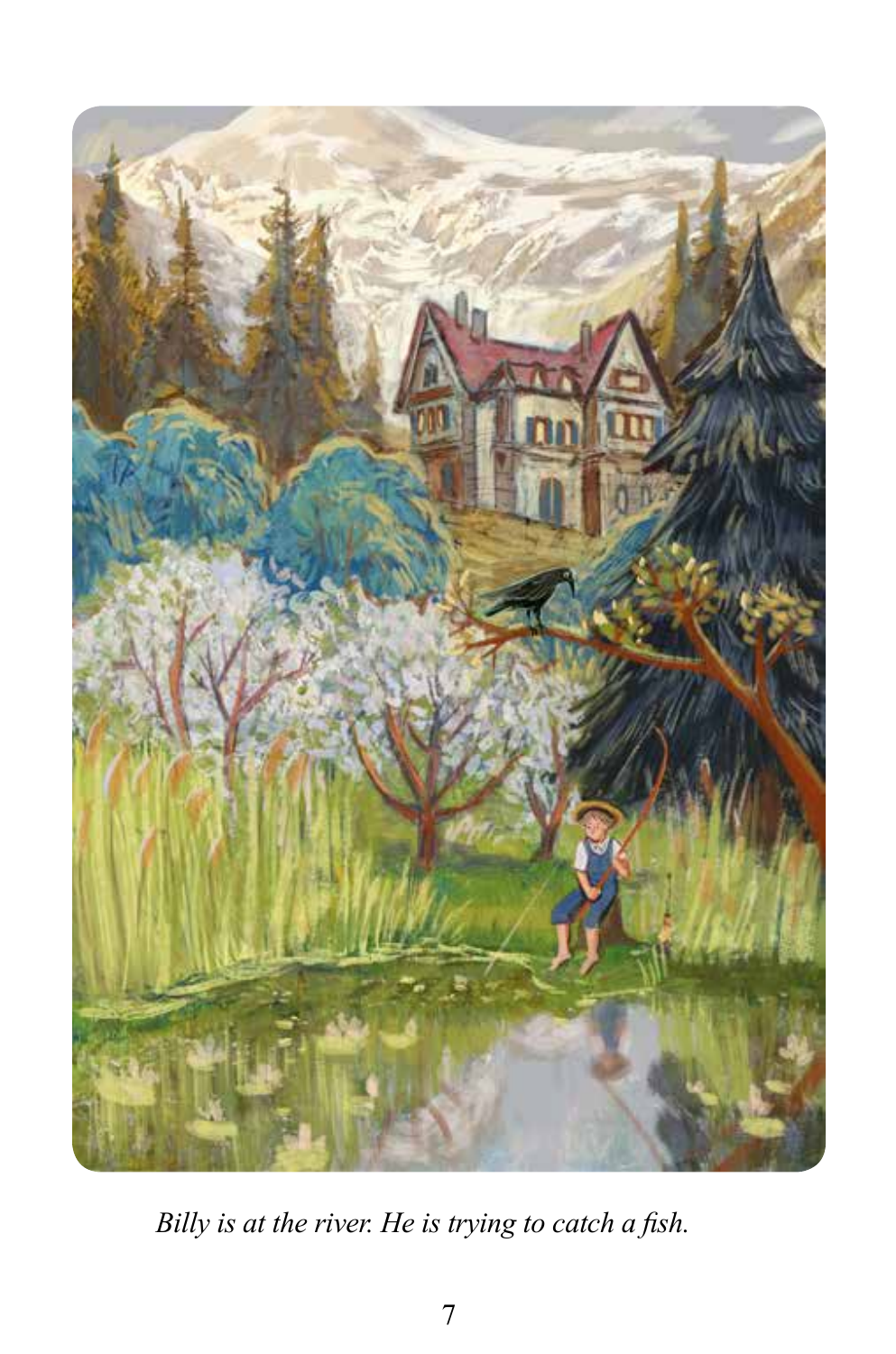

*Billy is at the river. He is trying to catch a fish.*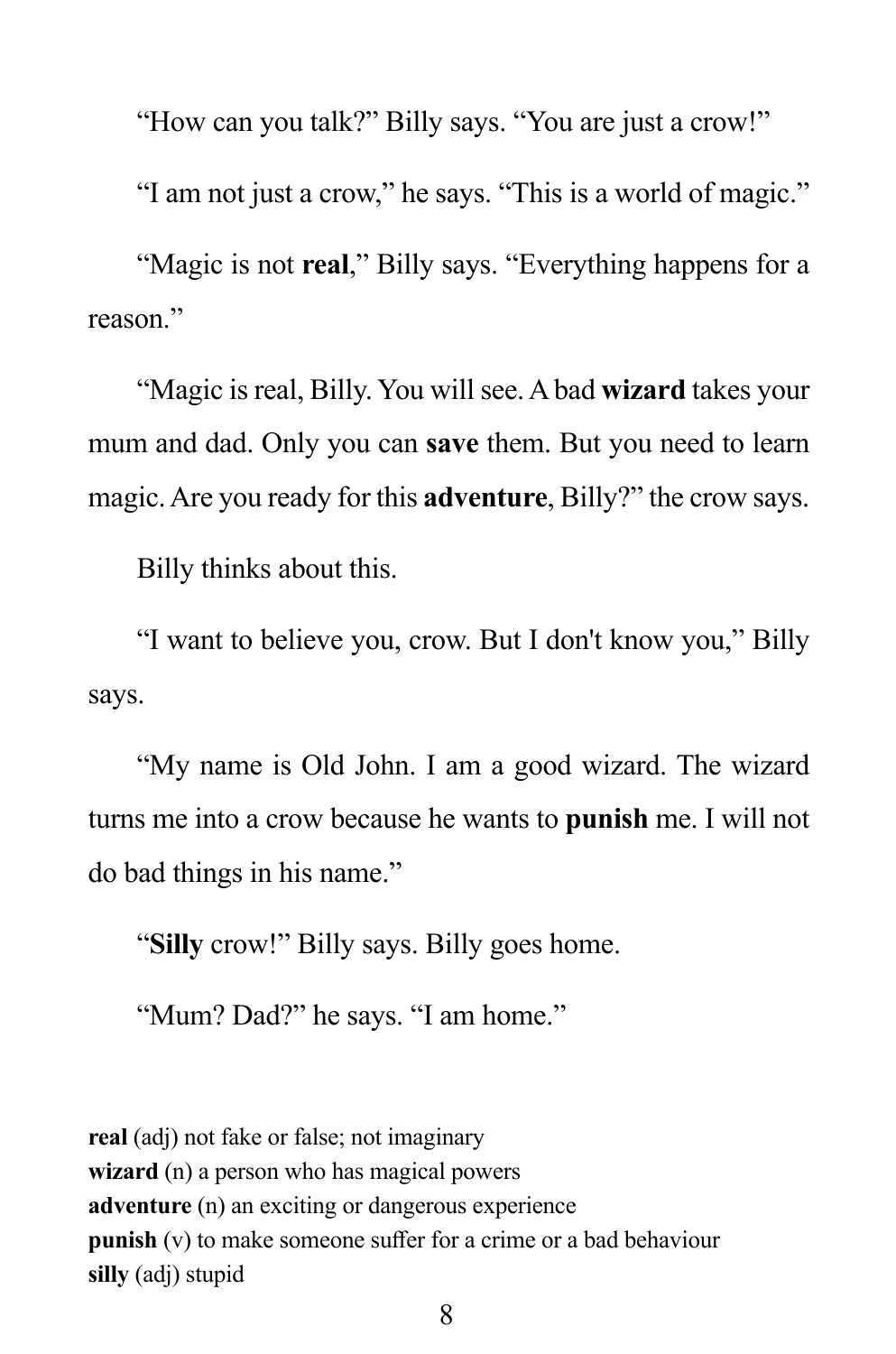"How can you talk?" Billy says. "You are just a crow!"

"I am not just a crow," he says. "This is a world of magic."

"Magic is not **real**," Billy says. "Everything happens for a reason."

"Magic is real, Billy. You will see. A bad **wizard** takes your mum and dad. Only you can **save** them. But you need to learn magic. Are you ready for this **adventure**, Billy?" the crow says.

Billy thinks about this.

"I want to believe you, crow. But I don't know you," Billy says.

"My name is Old John. I am a good wizard. The wizard turns me into a crow because he wants to **punish** me. I will not do bad things in his name."

"**Silly** crow!" Billy says. Billy goes home.

"Mum? Dad?" he says. "I am home."

**real** (adj) not fake or false; not imaginary **wizard** (n) a person who has magical powers **adventure** (n) an exciting or dangerous experience **punish** (v) to make someone suffer for a crime or a bad behaviour **silly** (adj) stupid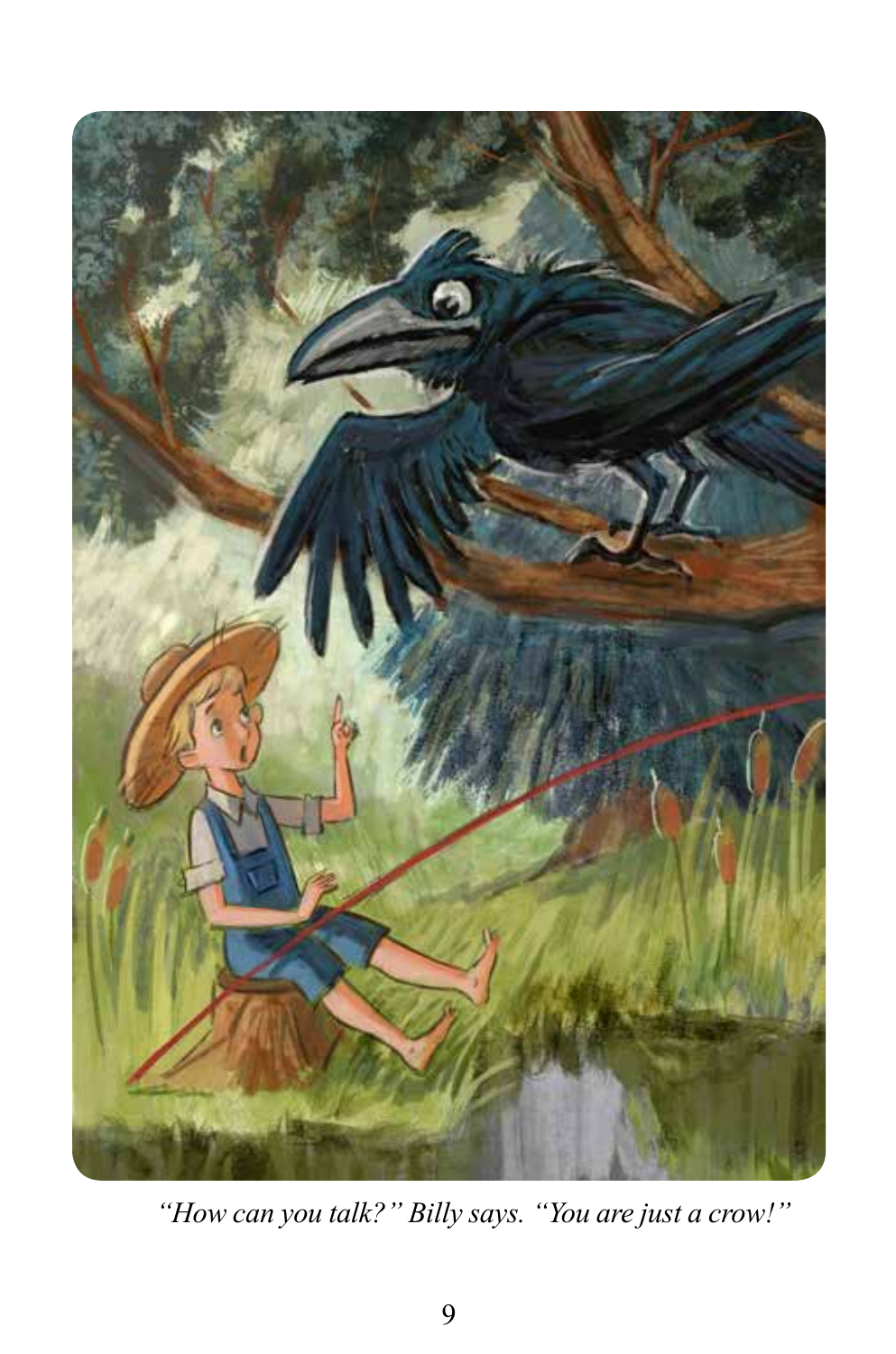

*"How can you talk?" Billy says. "You are just a crow!"*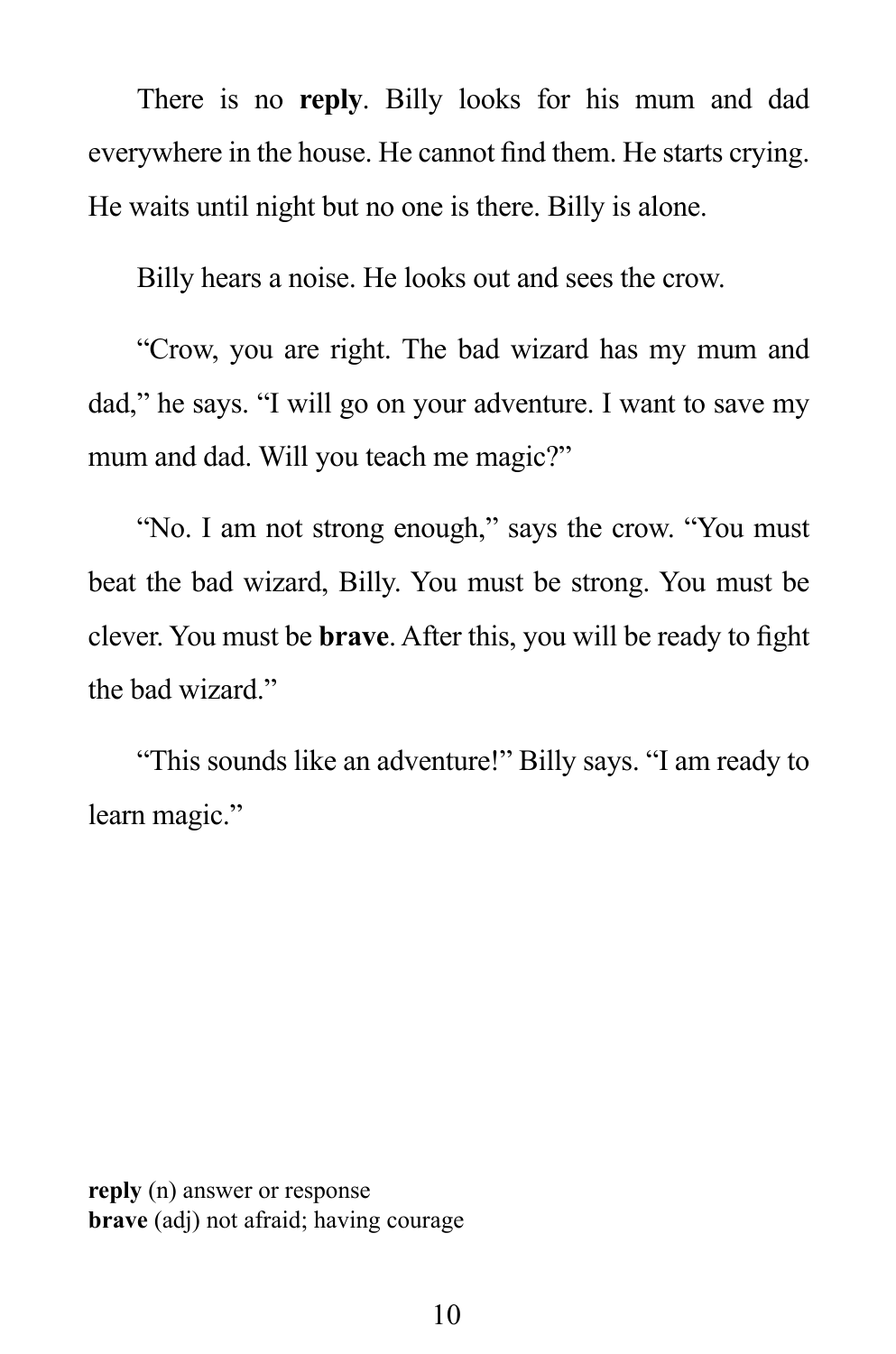There is no **reply**. Billy looks for his mum and dad everywhere in the house. He cannot find them. He starts crying. He waits until night but no one is there. Billy is alone.

Billy hears a noise. He looks out and sees the crow.

 "Crow, you are right. The bad wizard has my mum and dad," he says. "I will go on your adventure. I want to save my mum and dad. Will you teach me magic?"

 "No. I am not strong enough," says the crow. "You must beat the bad wizard, Billy. You must be strong. You must be clever. You must be **brave**. After this, you will be ready to fight the bad wizard."

 "This sounds like an adventure!" Billy says. "I am ready to learn magic."

**reply** (n) answer or response **brave** (adj) not afraid; having courage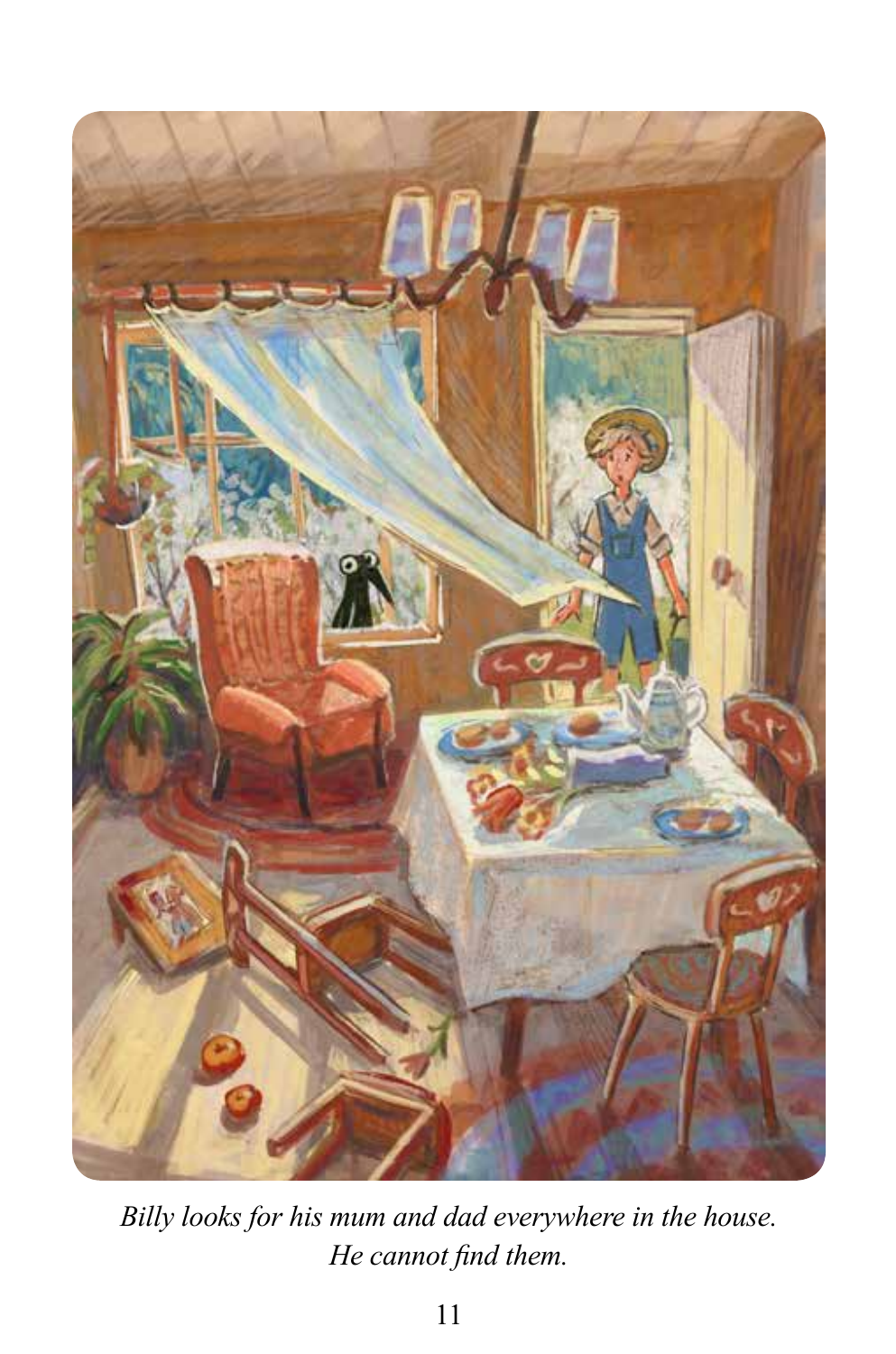

*Billy looks for his mum and dad everywhere in the house. He cannot find them.*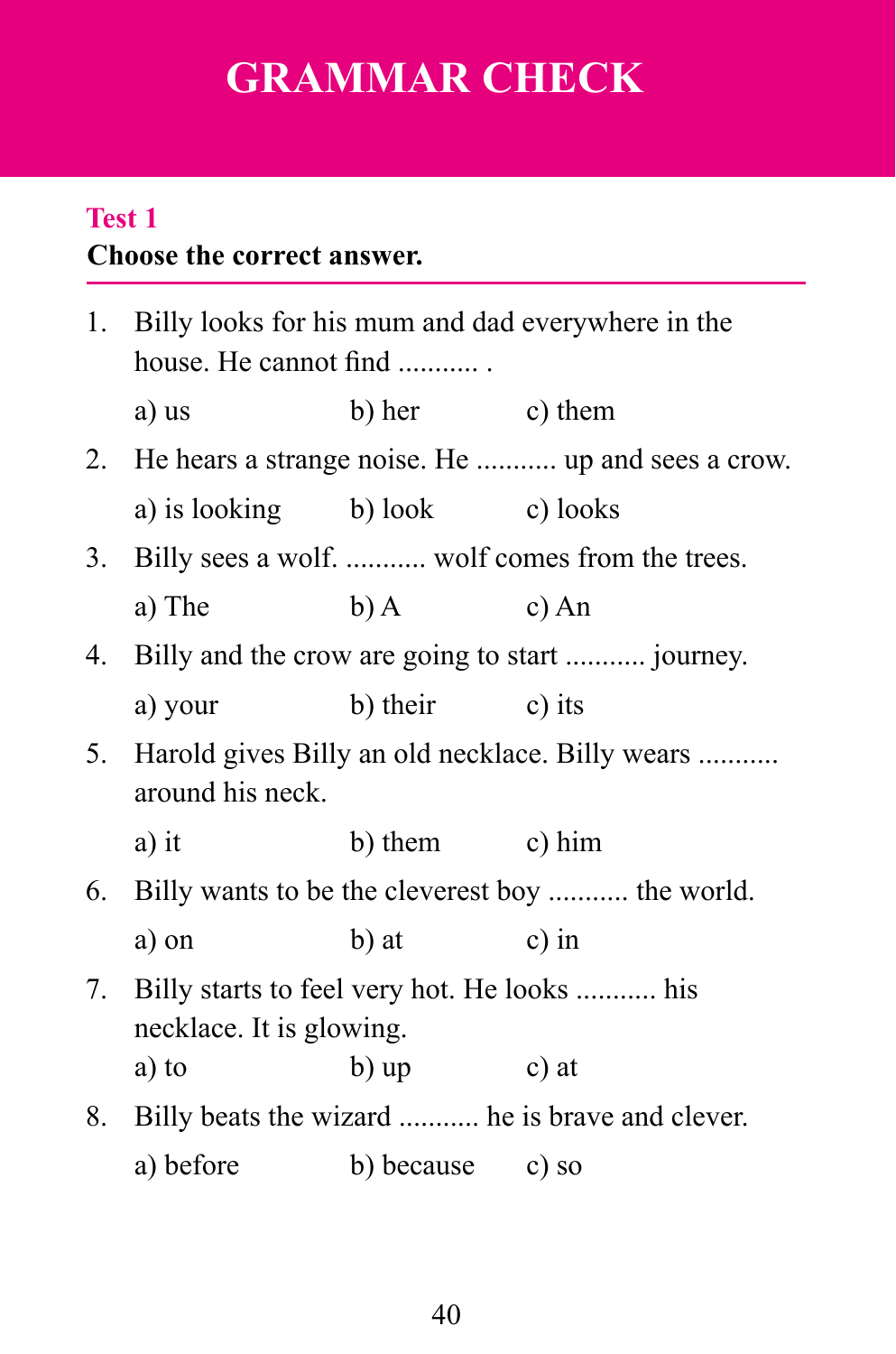# **GRAMMAR CHECK**

#### **Choose the correct answer. Test 1**

|    | 1. Billy looks for his mum and dad everywhere in the<br>house. He cannot find |                                                      |         |  |  |  |  |
|----|-------------------------------------------------------------------------------|------------------------------------------------------|---------|--|--|--|--|
|    | a) us                                                                         | b) her c) them                                       |         |  |  |  |  |
|    |                                                                               | 2. He hears a strange noise. He  up and sees a crow. |         |  |  |  |  |
|    | a) is looking b) look c) looks                                                |                                                      |         |  |  |  |  |
| 3. | Billy sees a wolf.  wolf comes from the trees.                                |                                                      |         |  |  |  |  |
|    | a) The                                                                        | $(b)$ A                                              | $c)$ An |  |  |  |  |
| 4. | Billy and the crow are going to start  journey.                               |                                                      |         |  |  |  |  |
|    | a) your                                                                       | b) their c) its                                      |         |  |  |  |  |
| 5. | Harold gives Billy an old necklace. Billy wears<br>around his neck.           |                                                      |         |  |  |  |  |
|    | a) it                                                                         | b) them $\qquad$ c) him                              |         |  |  |  |  |
|    | 6. Billy wants to be the cleverest boy  the world.                            |                                                      |         |  |  |  |  |
|    | a) on                                                                         | b) at                                                | $c)$ in |  |  |  |  |
| 7. | Billy starts to feel very hot. He looks  his<br>necklace. It is glowing.      |                                                      |         |  |  |  |  |
|    | a) to                                                                         | b) up                                                | c) at   |  |  |  |  |
|    |                                                                               | 8. Billy beats the wizard  he is brave and clever.   |         |  |  |  |  |
|    | a) before                                                                     | b) because c) so                                     |         |  |  |  |  |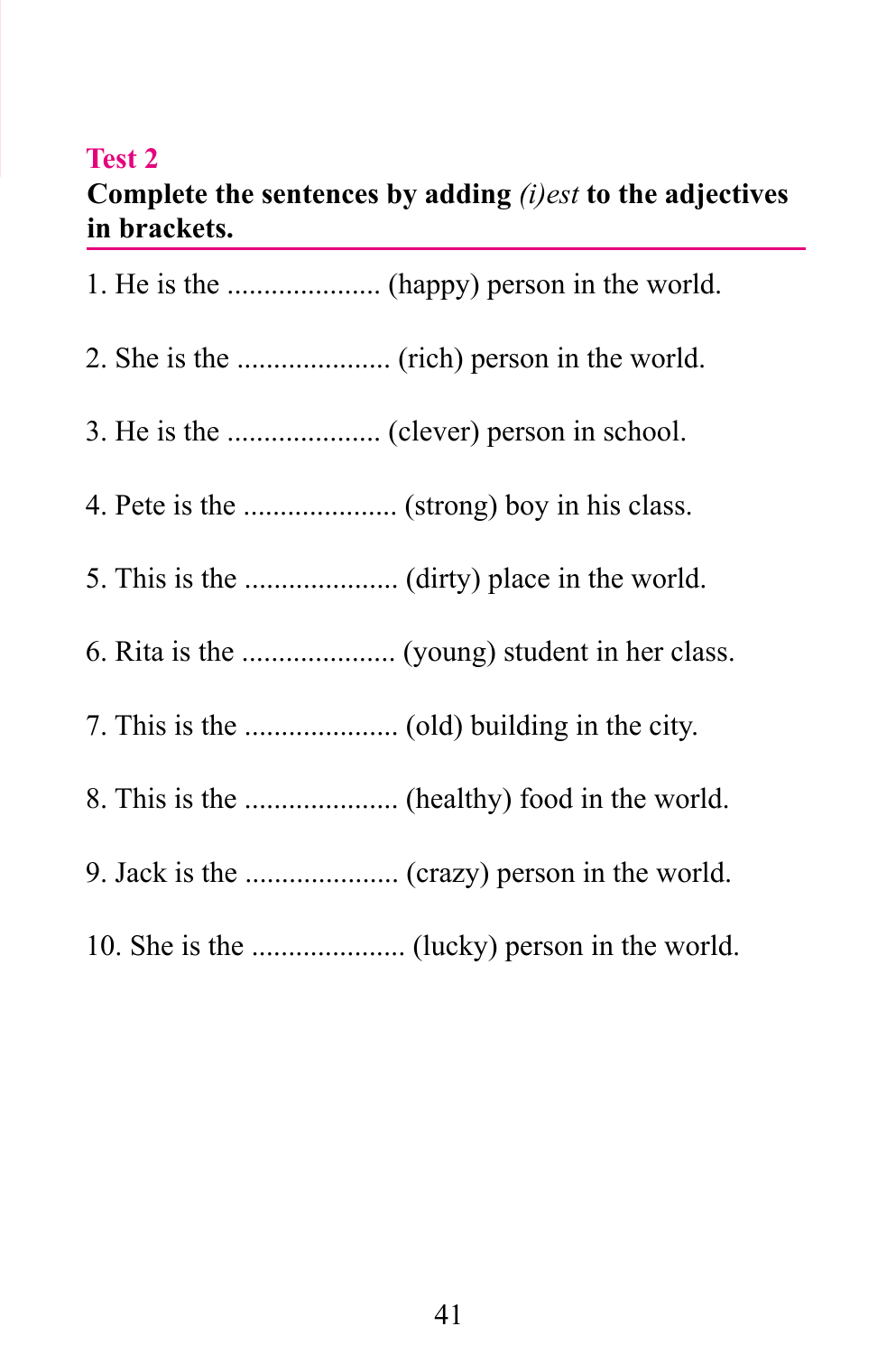#### **Test 2**

### **Complete the sentences by adding** *(i)est* **to the adjectives in brackets.**